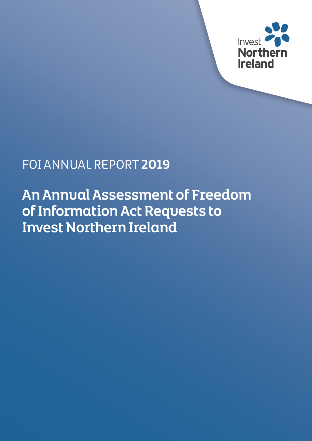

# FOI ANNUAL REPORT **2019**

An Annual Assessment of Freedom of Information Act Requests to Invest Northern Ireland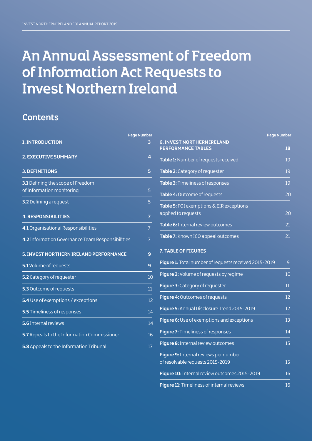# An Annual Assessment of Freedom of Information Act Requests to Invest Northern Ireland

# **Contents**

|                                                                | <b>Page Number</b> |
|----------------------------------------------------------------|--------------------|
| <b>1. INTRODUCTION</b>                                         | 3                  |
| <b>2. EXECUTIVE SUMMARY</b>                                    | 4                  |
| <b>3. DEFINITIONS</b>                                          | 5                  |
| 3.1 Defining the scope of Freedom<br>of Information monitoring | 5                  |
| 3.2 Defining a request                                         | 5                  |
| <b>4. RESPONSIBILITIES</b>                                     | $\overline{7}$     |
| 4.1 Organisational Responsibilities                            | $\overline{7}$     |
| 4.2 Information Governance Team Responsibilities               | $\overline{7}$     |
| 5. INVEST NORTHERN IRELAND PERFORMANCE                         | 9                  |
| 5.1 Volume of requests                                         | 9                  |
| 5.2 Category of requester                                      | 10                 |
| 5.3 Outcome of requests                                        | 11                 |
| 5.4 Use of exemptions / exceptions                             | 12                 |
| 5.5 Timeliness of responses                                    | 14                 |
| 5.6 Internal reviews                                           | 14                 |
| 5.7 Appeals to the Information Commissioner                    | 16                 |
| 5.8 Appeals to the Information Tribunal                        | 17                 |

|                                                                 | <b>Page Number</b> |
|-----------------------------------------------------------------|--------------------|
| <b>6. INVEST NORTHERN IRELAND</b><br><b>PERFORMANCE TABLES</b>  | 18                 |
| Table 1: Number of requests received                            | 19                 |
| Table 2: Category of requester                                  | 19                 |
| Table 3: Timeliness of responses                                | 19                 |
| Table 4: Outcome of requests                                    | 20                 |
| Table 5: FOI exemptions & EIR exceptions<br>applied to requests | 20                 |
| Table 6: Internal review outcomes                               | 21                 |
| Table 7: Known ICO appeal outcomes                              | 21                 |

#### **7. TABLE OF FIGURES**

| Figure 1: Total number of requests received 2015-2019                     | 9      |
|---------------------------------------------------------------------------|--------|
| Figure 2: Volume of requests by regime                                    | 10     |
| Figure 3: Category of requester                                           | $11\,$ |
| Figure 4: Outcomes of requests                                            | 12     |
| Figure 5: Annual Disclosure Trend 2015-2019                               | 12     |
| <b>Figure 6:</b> Use of exemptions and exceptions                         | 13     |
| Figure 7: Timeliness of responses                                         | 14     |
| Figure 8: Internal review outcomes                                        | 15     |
| Figure 9: Internal reviews per number<br>of resolvable requests 2015-2019 | 15     |
| Figure 10: Internal review outcomes 2015-2019                             | 16     |
| Figure 11: Timeliness of internal reviews                                 | 16     |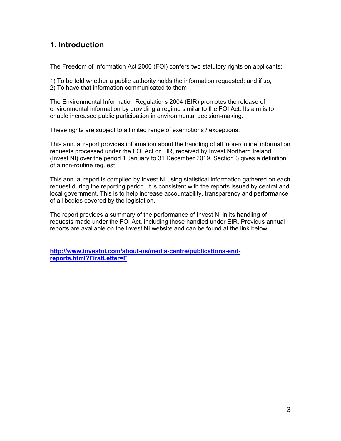# **1. Introduction**

The Freedom of Information Act 2000 (FOI) confers two statutory rights on applicants:

1) To be told whether a public authority holds the information requested; and if so,

2) To have that information communicated to them

The Environmental Information Regulations 2004 (EIR) promotes the release of environmental information by providing a regime similar to the FOI Act. Its aim is to enable increased public participation in environmental decision-making.

These rights are subject to a limited range of exemptions / exceptions.

This annual report provides information about the handling of all 'non-routine' information requests processed under the FOI Act or EIR, received by Invest Northern Ireland (Invest NI) over the period 1 January to 31 December 2019. Section 3 gives a definition of a non-routine request.

This annual report is compiled by Invest NI using statistical information gathered on each request during the reporting period. It is consistent with the reports issued by central and local government. This is to help increase accountability, transparency and performance of all bodies covered by the legislation.

The report provides a summary of the performance of Invest NI in its handling of requests made under the FOI Act, including those handled under EIR. Previous annual reports are available on the Invest NI website and can be found at the link below:

**http://www.investni.com/about-us/media-centre/publications-andreports.html?FirstLetter=F**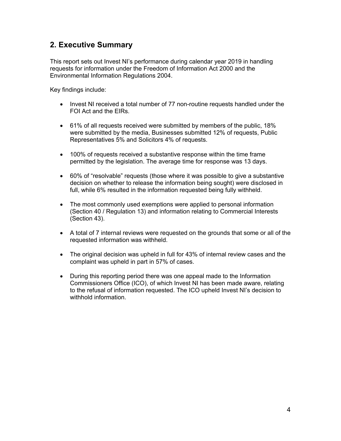# **2. Executive Summary**

This report sets out Invest NI's performance during calendar year 2019 in handling requests for information under the Freedom of Information Act 2000 and the Environmental Information Regulations 2004.

Key findings include:

- Invest NI received a total number of 77 non-routine requests handled under the FOI Act and the EIRs.
- 61% of all requests received were submitted by members of the public, 18% were submitted by the media, Businesses submitted 12% of requests, Public Representatives 5% and Solicitors 4% of requests.
- 100% of requests received a substantive response within the time frame permitted by the legislation. The average time for response was 13 days.
- 60% of "resolvable" requests (those where it was possible to give a substantive decision on whether to release the information being sought) were disclosed in full, while 6% resulted in the information requested being fully withheld.
- The most commonly used exemptions were applied to personal information (Section 40 / Regulation 13) and information relating to Commercial Interests (Section 43).
- A total of 7 internal reviews were requested on the grounds that some or all of the requested information was withheld.
- The original decision was upheld in full for 43% of internal review cases and the complaint was upheld in part in 57% of cases.
- During this reporting period there was one appeal made to the Information Commissioners Office (ICO), of which Invest NI has been made aware, relating to the refusal of information requested. The ICO upheld Invest NI's decision to withhold information.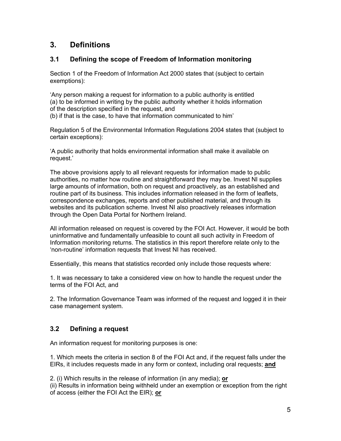# **3. Definitions**

#### **3.1 Defining the scope of Freedom of Information monitoring**

Section 1 of the Freedom of Information Act 2000 states that (subject to certain exemptions):

'Any person making a request for information to a public authority is entitled (a) to be informed in writing by the public authority whether it holds information of the description specified in the request, and

(b) if that is the case, to have that information communicated to him'

Regulation 5 of the Environmental Information Regulations 2004 states that (subject to certain exceptions):

'A public authority that holds environmental information shall make it available on request.'

The above provisions apply to all relevant requests for information made to public authorities, no matter how routine and straightforward they may be. Invest NI supplies large amounts of information, both on request and proactively, as an established and routine part of its business. This includes information released in the form of leaflets, correspondence exchanges, reports and other published material, and through its websites and its publication scheme. Invest NI also proactively releases information through the Open Data Portal for Northern Ireland.

All information released on request is covered by the FOI Act. However, it would be both uninformative and fundamentally unfeasible to count all such activity in Freedom of Information monitoring returns. The statistics in this report therefore relate only to the 'non-routine' information requests that Invest NI has received.

Essentially, this means that statistics recorded only include those requests where:

1. It was necessary to take a considered view on how to handle the request under the terms of the FOI Act, and

2. The Information Governance Team was informed of the request and logged it in their case management system.

#### **3.2 Defining a request**

An information request for monitoring purposes is one:

1. Which meets the criteria in section 8 of the FOI Act and, if the request falls under the EIRs, it includes requests made in any form or context, including oral requests; **and** 

2. (i) Which results in the release of information (in any media); **or** 

(ii) Results in information being withheld under an exemption or exception from the right of access (either the FOI Act the EIR); **or**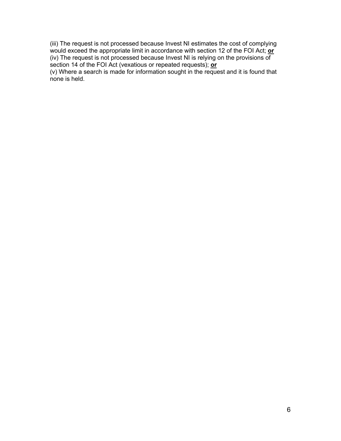(iii) The request is not processed because Invest NI estimates the cost of complying would exceed the appropriate limit in accordance with section 12 of the FOI Act; **or**  (iv) The request is not processed because Invest NI is relying on the provisions of section 14 of the FOI Act (vexatious or repeated requests); **or** 

(v) Where a search is made for information sought in the request and it is found that none is held.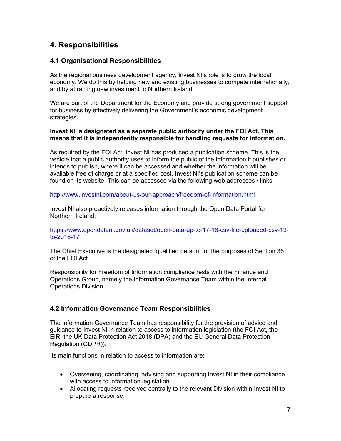# **4. Responsibilities**

#### **4.1 Organisational Responsibilities**

As the regional business development agency, Invest NI's role is to grow the local economy. We do this by helping new and existing businesses to compete internationally, and by attracting new investment to Northern Ireland.

We are part of the Department for the Economy and provide strong government support for business by effectively delivering the Government's economic development strategies.

#### **Invest NI is designated as a separate public authority under the FOI Act. This means that it is independently responsible for handling requests for information.**

As required by the FOI Act, Invest NI has produced a publication scheme. This is the vehicle that a public authority uses to inform the public of the information it publishes or intends to publish, where it can be accessed and whether the information will be available free of charge or at a specified cost. Invest NI's publication scheme can be found on its website. This can be accessed via the following web addresses / links:

http://www.investni.com/about-us/our-approach/freedom-of-information.html

Invest NI also proactively releases information through the Open Data Portal for Northern Ireland:

https://www.opendatani.gov.uk/dataset/open-data-up-to-17-18-csv-file-uploaded-csv-13 to-2016-17

The Chief Executive is the designated 'qualified person' for the purposes of Section 36 of the FOI Act.

Responsibility for Freedom of Information compliance rests with the Finance and Operations Group, namely the Information Governance Team within the Internal Operations Division.

#### **4.2 Information Governance Team Responsibilities**

The Information Governance Team has responsibility for the provision of advice and guidance to Invest NI in relation to access to information legislation (the FOI Act, the EIR, the UK Data Protection Act 2018 (DPA) and the EU General Data Protection Regulation (GDPR)).

Its main functions in relation to access to information are:

- Overseeing, coordinating, advising and supporting Invest NI in their compliance with access to information legislation.
- Allocating requests received centrally to the relevant Division within Invest NI to prepare a response.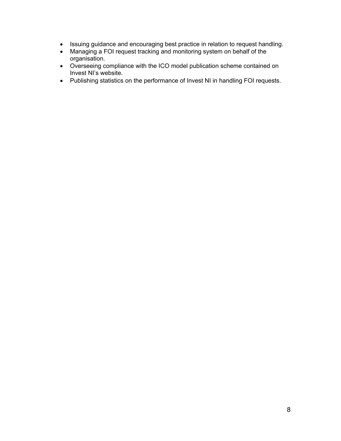- Issuing guidance and encouraging best practice in relation to request handling.
- Managing a FOI request tracking and monitoring system on behalf of the organisation.
- Overseeing compliance with the ICO model publication scheme contained on Invest NI's website.
- Publishing statistics on the performance of Invest NI in handling FOI requests.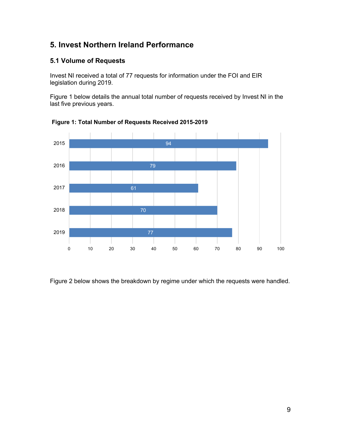# **5. Invest Northern Ireland Performance**

### **5.1 Volume of Requests**

Invest NI received a total of 77 requests for information under the FOI and EIR legislation during 2019.

Figure 1 below details the annual total number of requests received by Invest NI in the last five previous years.



**Figure 1: Total Number of Requests Received 2015-2019**

Figure 2 below shows the breakdown by regime under which the requests were handled.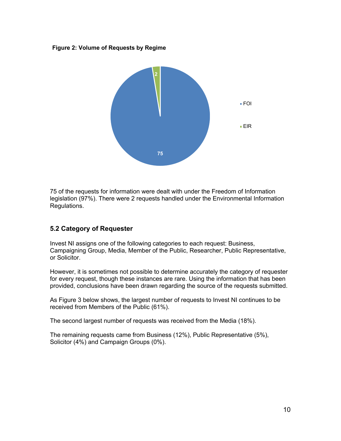#### **Figure 2: Volume of Requests by Regime**



75 of the requests for information were dealt with under the Freedom of Information legislation (97%). There were 2 requests handled under the Environmental Information Regulations.

#### **5.2 Category of Requester**

Invest NI assigns one of the following categories to each request: Business, Campaigning Group, Media, Member of the Public, Researcher, Public Representative, or Solicitor.

However, it is sometimes not possible to determine accurately the category of requester for every request, though these instances are rare. Using the information that has been provided, conclusions have been drawn regarding the source of the requests submitted.

As Figure 3 below shows, the largest number of requests to Invest NI continues to be received from Members of the Public (61%).

The second largest number of requests was received from the Media (18%).

The remaining requests came from Business (12%), Public Representative (5%), Solicitor (4%) and Campaign Groups (0%).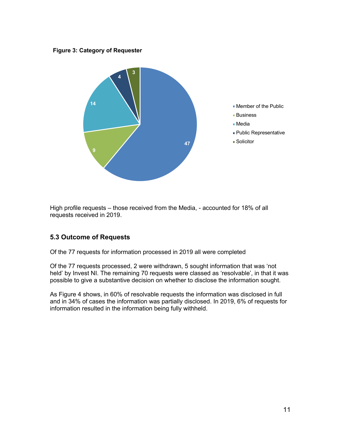#### **Figure 3: Category of Requester**



High profile requests – those received from the Media, - accounted for 18% of all requests received in 2019.

#### **5.3 Outcome of Requests**

Of the 77 requests for information processed in 2019 all were completed

Of the 77 requests processed, 2 were withdrawn, 5 sought information that was 'not held' by Invest NI. The remaining 70 requests were classed as 'resolvable', in that it was possible to give a substantive decision on whether to disclose the information sought.

As Figure 4 shows, in 60% of resolvable requests the information was disclosed in full and in 34% of cases the information was partially disclosed. In 2019, 6% of requests for information resulted in the information being fully withheld.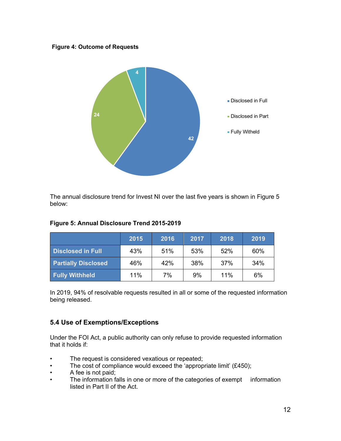#### **Figure 4: Outcome of Requests**



The annual disclosure trend for Invest NI over the last five years is shown in Figure 5 below:

|                            | 2015 | 2016 | 2017 | 2018 | 2019 |
|----------------------------|------|------|------|------|------|
| <b>Disclosed in Full</b>   | 43%  | 51%  | 53%  | 52%  | 60%  |
| <b>Partially Disclosed</b> | 46%  | 42%  | 38%  | 37%  | 34%  |
| <b>Fully Withheld</b>      | 11%  | 7%   | 9%   | 11%  | 6%   |

#### **Figure 5: Annual Disclosure Trend 2015-2019**

In 2019, 94% of resolvable requests resulted in all or some of the requested information being released.

#### **5.4 Use of Exemptions/Exceptions**

Under the FOI Act, a public authority can only refuse to provide requested information that it holds if:

- The request is considered vexatious or repeated;
- The cost of compliance would exceed the 'appropriate limit' (£450);
- A fee is not paid;
- The information falls in one or more of the categories of exempt information listed in Part II of the Act.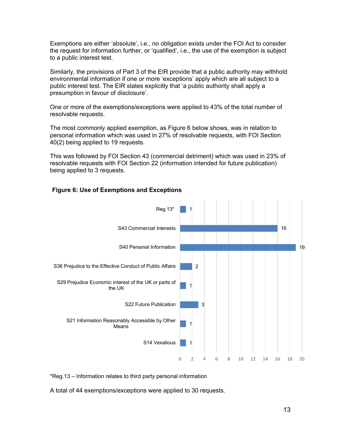Exemptions are either 'absolute', i.e., no obligation exists under the FOI Act to consider the request for information further, or 'qualified', i.e., the use of the exemption is subject to a public interest test.

Similarly, the provisions of Part 3 of the EIR provide that a public authority may withhold environmental information if one or more 'exceptions' apply which are all subject to a public interest test. The EIR states explicitly that 'a public authority shall apply a presumption in favour of disclosure'.

One or more of the exemptions/exceptions were applied to 43% of the total number of resolvable requests.

The most commonly applied exemption, as Figure 6 below shows, was in relation to personal information which was used in 27% of resolvable requests, with FOI Section 40(2) being applied to 19 requests.

This was followed by FOI Section 43 (commercial detriment) which was used in 23% of resolvable requests with FOI Section 22 (information intended for future publication) being applied to 3 requests.

#### **Figure 6: Use of Exemptions and Exceptions**



\*Reg.13 – Information relates to third party personal information

A total of 44 exemptions/exceptions were applied to 30 requests.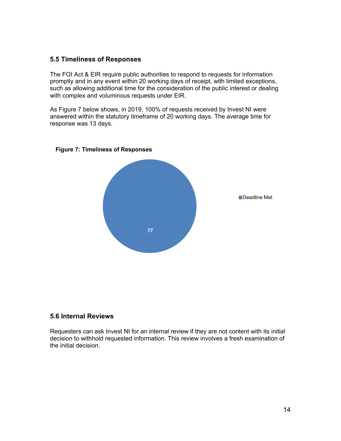#### **5.5 Timeliness of Responses**

The FOI Act & EIR require public authorities to respond to requests for information promptly and in any event within 20 working days of receipt, with limited exceptions, such as allowing additional time for the consideration of the public interest or dealing with complex and voluminous requests under EIR.

As Figure 7 below shows, in 2019, 100% of requests received by Invest NI were answered within the statutory timeframe of 20 working days. The average time for response was 13 days.



#### **Figure 7: Timeliness of Responses**

#### **5.6 Internal Reviews**

Requesters can ask Invest NI for an internal review if they are not content with its initial decision to withhold requested information. This review involves a fresh examination of the initial decision.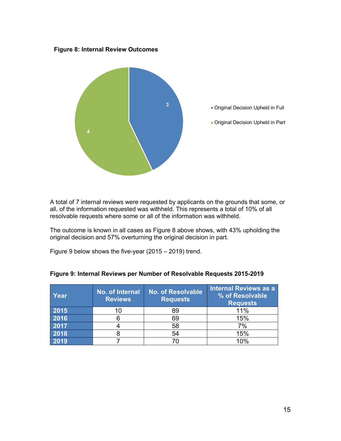**Figure 8: Internal Review Outcomes**



A total of 7 internal reviews were requested by applicants on the grounds that some, or all, of the information requested was withheld. This represents a total of 10% of all resolvable requests where some or all of the information was withheld.

The outcome is known in all cases as Figure 8 above shows, with 43% upholding the original decision and 57% overturning the original decision in part.

Figure 9 below shows the five-year (2015 – 2019) trend.

| Year | No. of Internal<br><b>Reviews</b> | <b>No. of Resolvable</b><br><b>Requests</b> | <b>Internal Reviews as a</b><br>% of Resolvable<br><b>Requests</b> |
|------|-----------------------------------|---------------------------------------------|--------------------------------------------------------------------|
| 2015 | 10                                | 89                                          | 11%                                                                |
| 2016 | h                                 | 69                                          | 15%                                                                |
| 2017 |                                   | 58                                          | 7%                                                                 |
| 2018 |                                   | 54                                          | 15%                                                                |
| 2019 |                                   |                                             | 10%                                                                |

#### **Figure 9: Internal Reviews per Number of Resolvable Requests 2015-2019**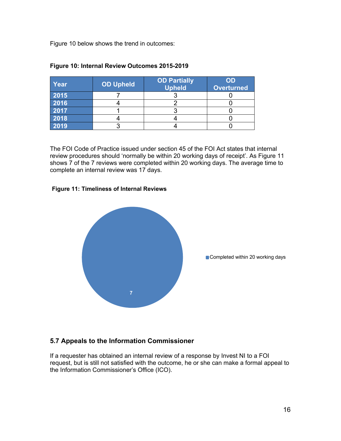Figure 10 below shows the trend in outcomes:

| Year | <b>OD Upheld</b> | <b>OD Partially</b><br><b>Upheld</b> | OD<br><b>Overturned</b> |
|------|------------------|--------------------------------------|-------------------------|
| 2015 |                  |                                      |                         |
| 2016 |                  |                                      |                         |
| 2017 |                  |                                      |                         |
| 2018 |                  |                                      |                         |
| 2019 |                  |                                      |                         |

#### **Figure 10: Internal Review Outcomes 2015-2019**

The FOI Code of Practice issued under section 45 of the FOI Act states that internal review procedures should 'normally be within 20 working days of receipt'. As Figure 11 shows 7 of the 7 reviews were completed within 20 working days. The average time to complete an internal review was 17 days.

#### **Figure 11: Timeliness of Internal Reviews**



### **5.7 Appeals to the Information Commissioner**

If a requester has obtained an internal review of a response by Invest NI to a FOI request, but is still not satisfied with the outcome, he or she can make a formal appeal to the Information Commissioner's Office (ICO).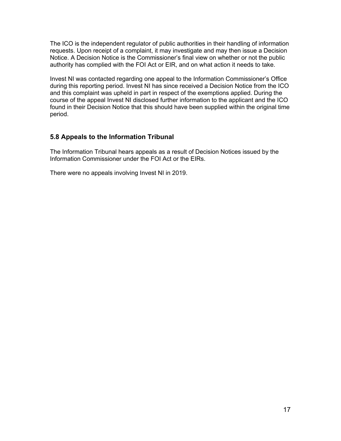The ICO is the independent regulator of public authorities in their handling of information requests. Upon receipt of a complaint, it may investigate and may then issue a Decision Notice. A Decision Notice is the Commissioner's final view on whether or not the public authority has complied with the FOI Act or EIR, and on what action it needs to take.

Invest NI was contacted regarding one appeal to the Information Commissioner's Office during this reporting period. Invest NI has since received a Decision Notice from the ICO and this complaint was upheld in part in respect of the exemptions applied. During the course of the appeal Invest NI disclosed further information to the applicant and the ICO found in their Decision Notice that this should have been supplied within the original time period.

#### **5.8 Appeals to the Information Tribunal**

The Information Tribunal hears appeals as a result of Decision Notices issued by the Information Commissioner under the FOI Act or the EIRs.

There were no appeals involving Invest NI in 2019.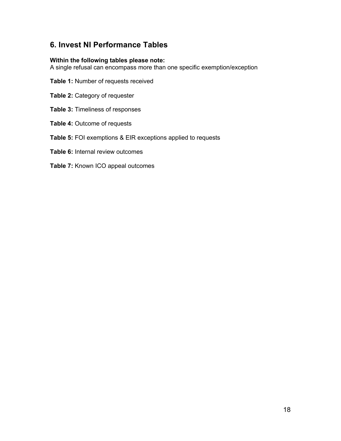# **6. Invest NI Performance Tables**

#### **Within the following tables please note:**

A single refusal can encompass more than one specific exemption/exception

- **Table 1:** Number of requests received
- **Table 2:** Category of requester
- **Table 3:** Timeliness of responses
- **Table 4:** Outcome of requests
- **Table 5:** FOI exemptions & EIR exceptions applied to requests
- **Table 6:** Internal review outcomes
- **Table 7:** Known ICO appeal outcomes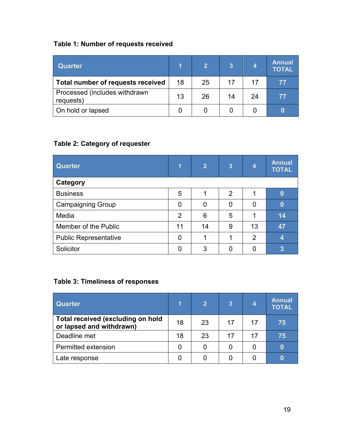# **Table 1: Number of requests received**

| <b>Quarter</b>                             | 1  | $\mathbf{2}$ | 3  |    | <b>Annual</b><br><b>TOTAL</b> |
|--------------------------------------------|----|--------------|----|----|-------------------------------|
| Total number of requests received          | 18 | 25           | 17 | 17 | 77                            |
| Processed (includes withdrawn<br>requests) | 13 | 26           | 14 | 24 | 77                            |
| On hold or lapsed                          |    |              |    |    |                               |

# **Table 2: Category of requester**

| <b>Quarter</b>               | 1              | $\overline{2}$ | $\overline{3}$ | 4              | <b>Annual</b><br><b>TOTAL</b> |
|------------------------------|----------------|----------------|----------------|----------------|-------------------------------|
| Category                     |                |                |                |                |                               |
| <b>Business</b>              | 5              |                | $\overline{2}$ |                | $\boldsymbol{9}$              |
| <b>Campaigning Group</b>     | 0              | 0              | 0              |                | $\bf{0}$                      |
| Media                        | $\overline{2}$ | 6              | 5              |                | 14                            |
| Member of the Public         | 11             | 14             | 9              | 13             | 47                            |
| <b>Public Representative</b> | 0              |                |                | $\overline{2}$ | 4                             |
| Solicitor                    |                | 3              |                |                | 3                             |

## **Table 3: Timeliness of responses**

| <b>Quarter</b>                                                       | 1  | $\mathbf{2}$ | $\overline{3}$ | 4  | <b>Annual</b><br><b>TOTAL</b> |
|----------------------------------------------------------------------|----|--------------|----------------|----|-------------------------------|
| <b>Total received (excluding on hold</b><br>or lapsed and withdrawn) | 18 | 23           | 17             | 17 | 75                            |
| Deadline met                                                         | 18 | 23           | 17             | 17 | 75                            |
| Permitted extension                                                  | 0  | 0            |                | O  |                               |
| Late response                                                        |    |              |                |    |                               |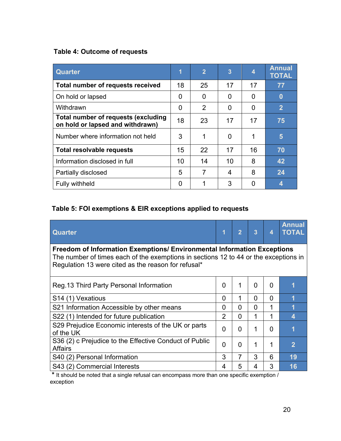## **Table 4: Outcome of requests**

| <b>Quarter</b>                                                          | 1  | $\overline{2}$ | $\overline{3}$ | 4  | <b>Annual</b><br><b>TOTAL</b> |
|-------------------------------------------------------------------------|----|----------------|----------------|----|-------------------------------|
| <b>Total number of requests received</b>                                | 18 | 25             | 17             | 17 | 77                            |
| On hold or lapsed                                                       | 0  | 0              | 0              | 0  | $\bf{0}$                      |
| Withdrawn                                                               | 0  | 2              | 0              | 0  | $\overline{2}$                |
| Total number of requests (excluding<br>on hold or lapsed and withdrawn) | 18 | 23             | 17             | 17 | 75                            |
| Number where information not held                                       | 3  | 1              | 0              | 1  | 5                             |
| <b>Total resolvable requests</b>                                        | 15 | 22             | 17             | 16 | 70                            |
| Information disclosed in full                                           | 10 | 14             | 10             | 8  | 42                            |
| Partially disclosed                                                     | 5  | 7              | 4              | 8  | 24                            |
| <b>Fully withheld</b>                                                   |    |                | 3              | O  | 4                             |

## **Table 5: FOI exemptions & EIR exceptions applied to requests**

| <b>Quarter</b>                                                                                                                                                                                                         | 1              | $\overline{2}$ | $\overline{3}$ | 4        | <b>Annual</b><br><b>TOTAL</b> |  |
|------------------------------------------------------------------------------------------------------------------------------------------------------------------------------------------------------------------------|----------------|----------------|----------------|----------|-------------------------------|--|
| Freedom of Information Exemptions/ Environmental Information Exceptions<br>The number of times each of the exemptions in sections 12 to 44 or the exceptions in<br>Regulation 13 were cited as the reason for refusal* |                |                |                |          |                               |  |
| Reg. 13 Third Party Personal Information                                                                                                                                                                               | $\overline{0}$ | 1              | $\overline{0}$ | $\Omega$ |                               |  |
| S <sub>14</sub> (1) Vexatious                                                                                                                                                                                          | 0              | 1              | 0              | 0        | 1                             |  |
| S21 Information Accessible by other means                                                                                                                                                                              | 0              | 0              | 0              |          | 1                             |  |
| S22 (1) Intended for future publication                                                                                                                                                                                | $\overline{2}$ | 0              | 1              | 1        | 4                             |  |
| S29 Prejudice Economic interests of the UK or parts<br>of the UK                                                                                                                                                       | 0              | 0              | 1              | 0        | 1                             |  |
| S36 (2) c Prejudice to the Effective Conduct of Public<br><b>Affairs</b>                                                                                                                                               | $\overline{0}$ | 0              | 1              | 1        | $\overline{2}$                |  |
| S40 (2) Personal Information                                                                                                                                                                                           | 3              | 7              | 3              | 6        | 19                            |  |
| S43 (2) Commercial Interests                                                                                                                                                                                           | 4              | 5              | 4              | 3        | 16                            |  |

**\*** It should be noted that a single refusal can encompass more than one specific exemption / exception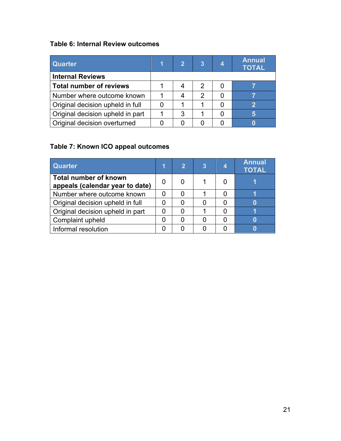## **Table 6: Internal Review outcomes**

| <b>Quarter</b>                   |   | $\overline{3}$ | <b>Annual</b><br><b>TOTAL</b> |
|----------------------------------|---|----------------|-------------------------------|
| <b>Internal Reviews</b>          |   |                |                               |
| <b>Total number of reviews</b>   |   | 2              |                               |
| Number where outcome known       |   | 2              |                               |
| Original decision upheld in full |   |                | າ                             |
| Original decision upheld in part | 3 |                |                               |
| Original decision overturned     |   |                |                               |

# **Table 7: Known ICO appeal outcomes**

| <b>Quarter</b>                                                  | 1 | $\mathbf{2}$ | 3 | <b>Annual</b><br><b>TOTAL</b> |
|-----------------------------------------------------------------|---|--------------|---|-------------------------------|
| <b>Total number of known</b><br>appeals (calendar year to date) | O |              |   |                               |
| Number where outcome known                                      |   |              |   |                               |
| Original decision upheld in full                                | 0 |              |   |                               |
| Original decision upheld in part                                | 0 |              |   |                               |
| Complaint upheld                                                |   |              |   |                               |
| Informal resolution                                             |   |              |   |                               |